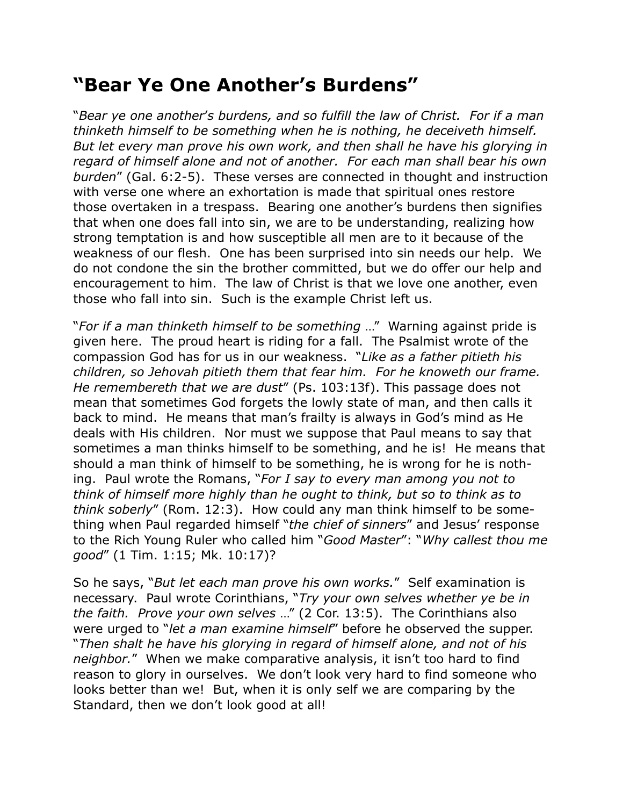## **"Bear Ye One Another's Burdens"**

"*Bear ye one another*'*s burdens, and so fulfill the law of Christ. For if a man thinketh himself to be something when he is nothing, he deceiveth himself. But let every man prove his own work, and then shall he have his glorying in regard of himself alone and not of another. For each man shall bear his own burden*" (Gal. 6:2-5). These verses are connected in thought and instruction with verse one where an exhortation is made that spiritual ones restore those overtaken in a trespass. Bearing one another's burdens then signifies that when one does fall into sin, we are to be understanding, realizing how strong temptation is and how susceptible all men are to it because of the weakness of our flesh. One has been surprised into sin needs our help. We do not condone the sin the brother committed, but we do offer our help and encouragement to him. The law of Christ is that we love one another, even those who fall into sin. Such is the example Christ left us.

"*For if a man thinketh himself to be something* …" Warning against pride is given here. The proud heart is riding for a fall. The Psalmist wrote of the compassion God has for us in our weakness. "*Like as a father pitieth his children, so Jehovah pitieth them that fear him. For he knoweth our frame. He remembereth that we are dust*" (Ps. 103:13f). This passage does not mean that sometimes God forgets the lowly state of man, and then calls it back to mind. He means that man's frailty is always in God's mind as He deals with His children. Nor must we suppose that Paul means to say that sometimes a man thinks himself to be something, and he is! He means that should a man think of himself to be something, he is wrong for he is nothing. Paul wrote the Romans, "*For I say to every man among you not to think of himself more highly than he ought to think, but so to think as to think soberly*" (Rom. 12:3). How could any man think himself to be something when Paul regarded himself "*the chief of sinners*" and Jesus' response to the Rich Young Ruler who called him "*Good Master*": "*Why callest thou me good*" (1 Tim. 1:15; Mk. 10:17)?

So he says, "*But let each man prove his own works.*" Self examination is necessary. Paul wrote Corinthians, "*Try your own selves whether ye be in the faith. Prove your own selves* …" (2 Cor. 13:5). The Corinthians also were urged to "*let a man examine himself*" before he observed the supper. "*Then shalt he have his glorying in regard of himself alone, and not of his neighbor.*" When we make comparative analysis, it isn't too hard to find reason to glory in ourselves. We don't look very hard to find someone who looks better than we! But, when it is only self we are comparing by the Standard, then we don't look good at all!